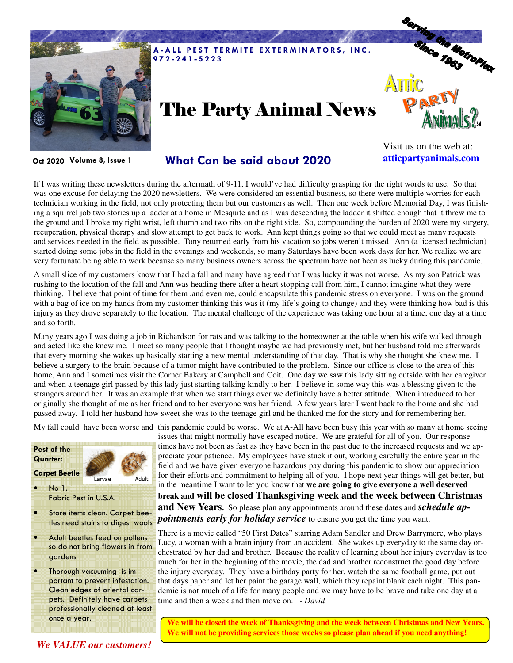

# The Party Animal News



**Oct 2020 Volume 8, Issue 1**

### **What Can be said about 2020**

Visit us on the web at: **atticpartyanimals.com** 

If I was writing these newsletters during the aftermath of 9-11, I would've had difficulty grasping for the right words to use. So that was one excuse for delaying the 2020 newsletters. We were considered an essential business, so there were multiple worries for each technician working in the field, not only protecting them but our customers as well. Then one week before Memorial Day, I was finishing a squirrel job two stories up a ladder at a home in Mesquite and as I was descending the ladder it shifted enough that it threw me to the ground and I broke my right wrist, left thumb and two ribs on the right side. So, compounding the burden of 2020 were my surgery, recuperation, physical therapy and slow attempt to get back to work. Ann kept things going so that we could meet as many requests and services needed in the field as possible. Tony returned early from his vacation so jobs weren't missed. Ann (a licensed technician) started doing some jobs in the field in the evenings and weekends, so many Saturdays have been work days for her. We realize we are very fortunate being able to work because so many business owners across the spectrum have not been as lucky during this pandemic.

A small slice of my customers know that I had a fall and many have agreed that I was lucky it was not worse. As my son Patrick was rushing to the location of the fall and Ann was heading there after a heart stopping call from him, I cannot imagine what they were thinking. I believe that point of time for them ,and even me, could encapsulate this pandemic stress on everyone. I was on the ground with a bag of ice on my hands from my customer thinking this was it (my life's going to change) and they were thinking how bad is this injury as they drove separately to the location. The mental challenge of the experience was taking one hour at a time, one day at a time and so forth.

Many years ago I was doing a job in Richardson for rats and was talking to the homeowner at the table when his wife walked through and acted like she knew me. I meet so many people that I thought maybe we had previously met, but her husband told me afterwards that every morning she wakes up basically starting a new mental understanding of that day. That is why she thought she knew me. I believe a surgery to the brain because of a tumor might have contributed to the problem. Since our office is close to the area of this home, Ann and I sometimes visit the Corner Bakery at Campbell and Coit. One day we saw this lady sitting outside with her caregiver and when a teenage girl passed by this lady just starting talking kindly to her. I believe in some way this was a blessing given to the strangers around her. It was an example that when we start things over we definitely have a better attitude. When introduced to her originally she thought of me as her friend and to her everyone was her friend. A few years later I went back to the home and she had passed away. I told her husband how sweet she was to the teenage girl and he thanked me for the story and for remembering her.

My fall could have been worse and this pandemic could be worse. We at A-All have been busy this year with so many at home seeing

#### **Pest of the Quarter:**

**Carpet Beetle**



• No 1. Fabric Pest in U.S.A.

- Store items clean. Carpet beetles need stains to digest wools
- Adult beetles feed on pollens so do not bring flowers in from gardens
- Thorough vacuuming is important to prevent infestation. Clean edges of oriental carpets. Definitely have carpets professionally cleaned at least once a year.

issues that might normally have escaped notice. We are grateful for all of you. Our response times have not been as fast as they have been in the past due to the increased requests and we appreciate your patience. My employees have stuck it out, working carefully the entire year in the field and we have given everyone hazardous pay during this pandemic to show our appreciation for their efforts and commitment to helping all of you. I hope next year things will get better, but in the meantime I want to let you know that **we are going to give everyone a well deserved break and will be closed Thanksgiving week and the week between Christmas and New Years.** So please plan any appointments around these dates and *schedule appointments early for holiday service* to ensure you get the time you want.

There is a movie called "50 First Dates" starring Adam Sandler and Drew Barrymore, who plays Lucy, a woman with a brain injury from an accident. She wakes up everyday to the same day orchestrated by her dad and brother. Because the reality of learning about her injury everyday is too much for her in the beginning of the movie, the dad and brother reconstruct the good day before the injury everyday. They have a birthday party for her, watch the same football game, put out that days paper and let her paint the garage wall, which they repaint blank each night. This pandemic is not much of a life for many people and we may have to be brave and take one day at a time and then a week and then move on. *- David*

**We will be closed the week of Thanksgiving and the week between Christmas and New Years. We will not be providing services those weeks so please plan ahead if you need anything!** 

*We VALUE our customers!*